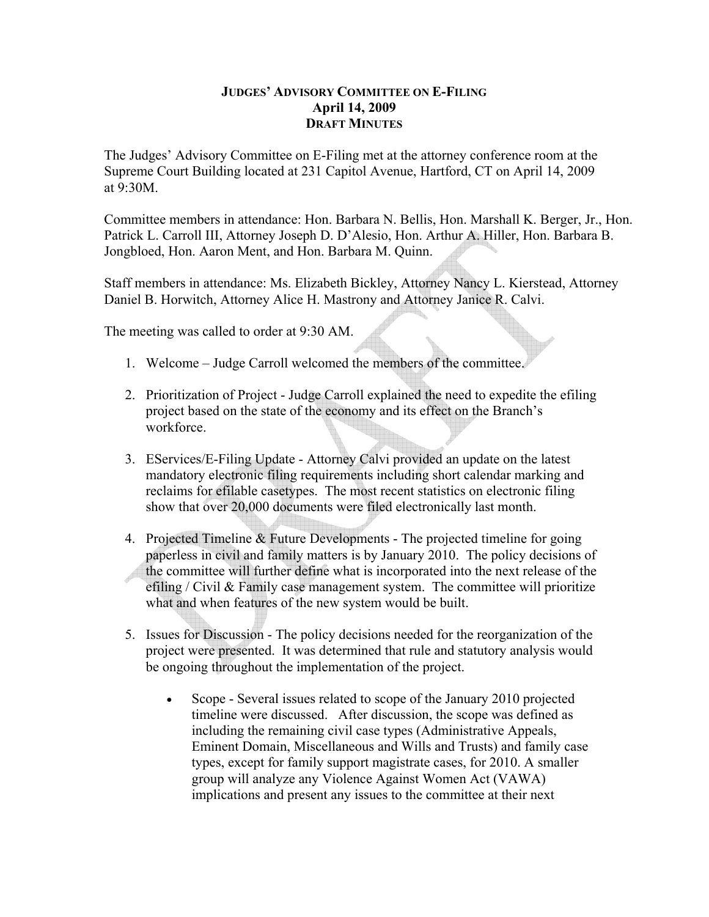## **JUDGES' ADVISORY COMMITTEE ON E-FILING April 14, 2009 DRAFT MINUTES**

The Judges' Advisory Committee on E-Filing met at the attorney conference room at the Supreme Court Building located at 231 Capitol Avenue, Hartford, CT on April 14, 2009 at  $9.30M$ 

Committee members in attendance: Hon. Barbara N. Bellis, Hon. Marshall K. Berger, Jr., Hon. Patrick L. Carroll III, Attorney Joseph D. D'Alesio, Hon. Arthur A. Hiller, Hon. Barbara B. Jongbloed, Hon. Aaron Ment, and Hon. Barbara M. Quinn.

Staff members in attendance: Ms. Elizabeth Bickley, Attorney Nancy L. Kierstead, Attorney Daniel B. Horwitch, Attorney Alice H. Mastrony and Attorney Janice R. Calvi.

The meeting was called to order at 9:30 AM.

- 1. Welcome Judge Carroll welcomed the members of the committee.
- 2. Prioritization of Project Judge Carroll explained the need to expedite the efiling project based on the state of the economy and its effect on the Branch's workforce.
- 3. EServices/E-Filing Update Attorney Calvi provided an update on the latest mandatory electronic filing requirements including short calendar marking and reclaims for efilable casetypes. The most recent statistics on electronic filing show that over 20,000 documents were filed electronically last month.
- 4. Projected Timeline & Future Developments The projected timeline for going paperless in civil and family matters is by January 2010. The policy decisions of the committee will further define what is incorporated into the next release of the efiling / Civil & Family case management system. The committee will prioritize what and when features of the new system would be built.
- 5. Issues for Discussion The policy decisions needed for the reorganization of the project were presented. It was determined that rule and statutory analysis would be ongoing throughout the implementation of the project.
	- Scope Several issues related to scope of the January 2010 projected timeline were discussed. After discussion, the scope was defined as including the remaining civil case types (Administrative Appeals, Eminent Domain, Miscellaneous and Wills and Trusts) and family case types, except for family support magistrate cases, for 2010. A smaller group will analyze any Violence Against Women Act (VAWA) implications and present any issues to the committee at their next